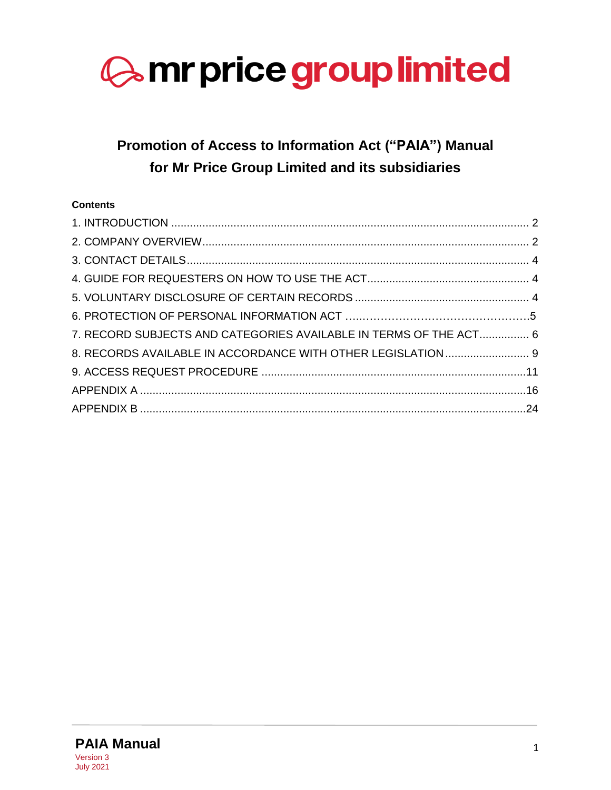

# **Promotion of Access to Information Act ("PAIA") Manual for Mr Price Group Limited and its subsidiaries**

# **Contents**

| 7. RECORD SUBJECTS AND CATEGORIES AVAILABLE IN TERMS OF THE ACT 6 |  |
|-------------------------------------------------------------------|--|
| 8. RECORDS AVAILABLE IN ACCORDANCE WITH OTHER LEGISLATION 9       |  |
|                                                                   |  |
|                                                                   |  |
|                                                                   |  |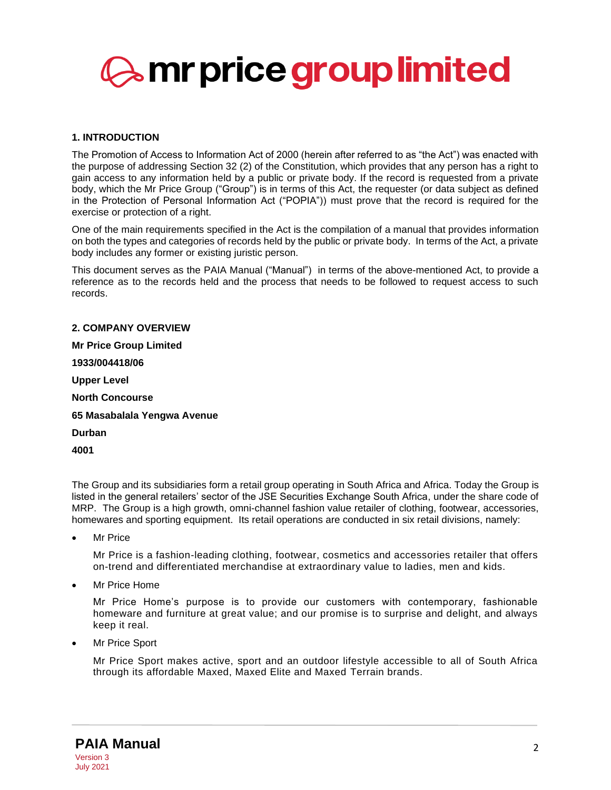

# <span id="page-1-0"></span>**1. INTRODUCTION**

The Promotion of Access to Information Act of 2000 (herein after referred to as "the Act") was enacted with the purpose of addressing Section 32 (2) of the Constitution, which provides that any person has a right to gain access to any information held by a public or private body. If the record is requested from a private body, which the Mr Price Group ("Group") is in terms of this Act, the requester (or data subject as defined in the Protection of Personal Information Act ("POPIA")) must prove that the record is required for the exercise or protection of a right.

One of the main requirements specified in the Act is the compilation of a manual that provides information on both the types and categories of records held by the public or private body. In terms of the Act, a private body includes any former or existing juristic person.

This document serves as the PAIA Manual ("Manual") in terms of the above-mentioned Act, to provide a reference as to the records held and the process that needs to be followed to request access to such records.

<span id="page-1-1"></span>**2. COMPANY OVERVIEW Mr Price Group Limited 1933/004418/06 Upper Level North Concourse 65 Masabalala Yengwa Avenue Durban 4001**

The Group and its subsidiaries form a retail group operating in South Africa and Africa. Today the Group is listed in the general retailers' sector of the JSE Securities Exchange South Africa, under the share code of MRP. The Group is a high growth, omni-channel fashion value retailer of clothing, footwear, accessories, homewares and sporting equipment. Its retail operations are conducted in six retail divisions, namely:

**Mr Price** 

Mr Price is a fashion-leading clothing, footwear, cosmetics and accessories retailer that offers on-trend and differentiated merchandise at extraordinary value to ladies, men and kids.

• Mr Price Home

Mr Price Home's purpose is to provide our customers with contemporary, fashionable homeware and furniture at great value; and our promise is to surprise and delight, and always keep it real.

**Mr Price Sport** 

Mr Price Sport makes active, sport and an outdoor lifestyle accessible to all of South Africa through its affordable Maxed, Maxed Elite and Maxed Terrain brands.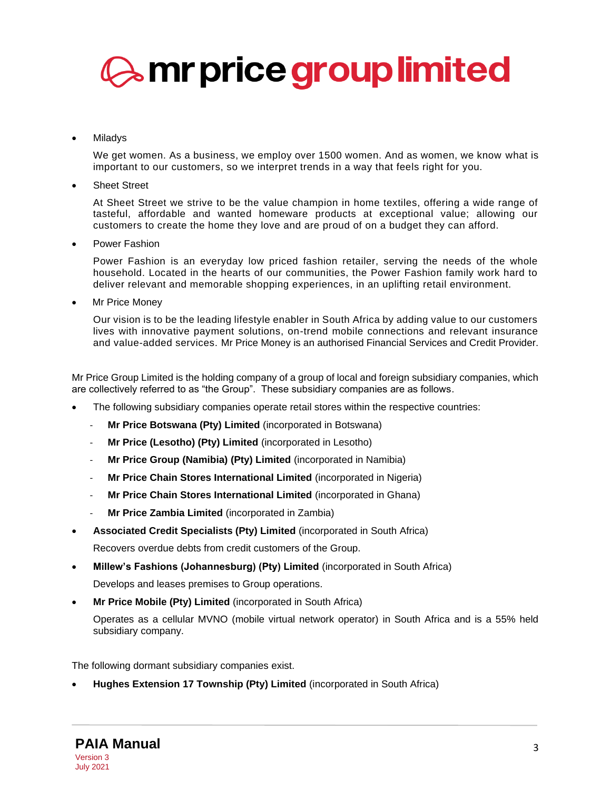

### **Miladys**

We get women. As a business, we employ over 1500 women. And as women, we know what is important to our customers, so we interpret trends in a way that feels right for you.

**Sheet Street** 

At Sheet Street we strive to be the value champion in home textiles, offering a wide range of tasteful, affordable and wanted homeware products at exceptional value; allowing our customers to create the home they love and are proud of on a budget they can afford.

• Power Fashion

Power Fashion is an everyday low priced fashion retailer, serving the needs of the whole household. Located in the hearts of our communities, the Power Fashion family work hard to deliver relevant and memorable shopping experiences, in an uplifting retail environment.

Mr Price Money

Our vision is to be the leading lifestyle enabler in South Africa by adding value to our customers lives with innovative payment solutions, on-trend mobile connections and relevant insurance and value-added services. Mr Price Money is an authorised Financial Services and Credit Provider.

Mr Price Group Limited is the holding company of a group of local and foreign subsidiary companies, which are collectively referred to as "the Group". These subsidiary companies are as follows.

- The following subsidiary companies operate retail stores within the respective countries:
	- **Mr Price Botswana (Pty) Limited** (incorporated in Botswana)
	- **Mr Price (Lesotho) (Pty) Limited** (incorporated in Lesotho)
	- **Mr Price Group (Namibia) (Pty) Limited** (incorporated in Namibia)
	- **Mr Price Chain Stores International Limited** (incorporated in Nigeria)
	- **Mr Price Chain Stores International Limited** (incorporated in Ghana)
	- **Mr Price Zambia Limited** (incorporated in Zambia)
- **Associated Credit Specialists (Pty) Limited** (incorporated in South Africa)

Recovers overdue debts from credit customers of the Group.

- **Millew's Fashions (Johannesburg) (Pty) Limited** (incorporated in South Africa) Develops and leases premises to Group operations.
- **Mr Price Mobile (Pty) Limited** (incorporated in South Africa)

Operates as a cellular MVNO (mobile virtual network operator) in South Africa and is a 55% held subsidiary company.

The following dormant subsidiary companies exist.

• **Hughes Extension 17 Township (Pty) Limited** (incorporated in South Africa)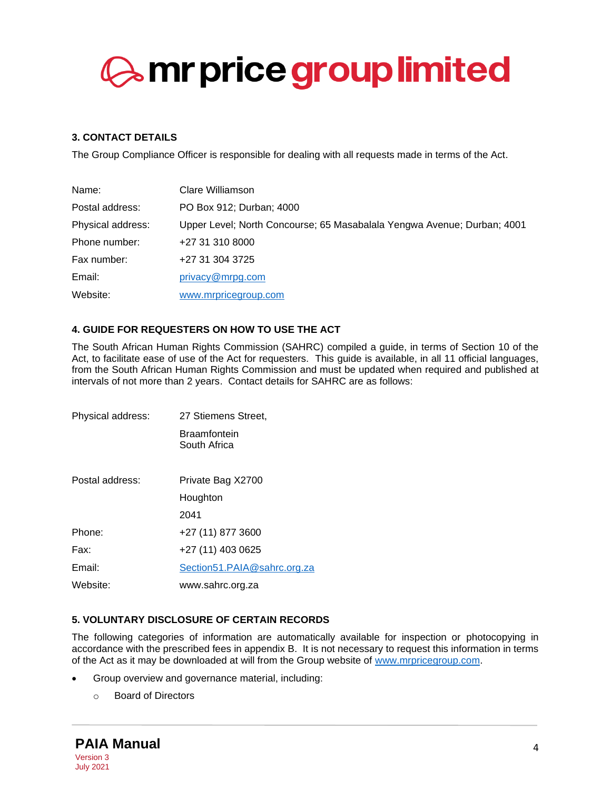# <span id="page-3-0"></span>**3. CONTACT DETAILS**

The Group Compliance Officer is responsible for dealing with all requests made in terms of the Act.

| Name:             | Clare Williamson                                                        |
|-------------------|-------------------------------------------------------------------------|
| Postal address:   | PO Box 912; Durban; 4000                                                |
| Physical address: | Upper Level; North Concourse; 65 Masabalala Yengwa Avenue; Durban; 4001 |
| Phone number:     | +27 31 310 8000                                                         |
| Fax number:       | +27 31 304 3725                                                         |
| Email:            | privacy@mrpg.com                                                        |
| Website:          | www.mrpricegroup.com                                                    |

# <span id="page-3-1"></span>**4. GUIDE FOR REQUESTERS ON HOW TO USE THE ACT**

The South African Human Rights Commission (SAHRC) compiled a guide, in terms of Section 10 of the Act, to facilitate ease of use of the Act for requesters. This guide is available, in all 11 official languages, from the South African Human Rights Commission and must be updated when required and published at intervals of not more than 2 years. Contact details for SAHRC are as follows:

| Physical address: | 27 Stiemens Street,          |  |  |
|-------------------|------------------------------|--|--|
|                   | Braamfontein<br>South Africa |  |  |
| Postal address:   | Private Bag X2700            |  |  |
|                   | Houghton                     |  |  |
|                   | 2041                         |  |  |
| Phone:            | +27 (11) 877 3600            |  |  |
| Fax:              | +27 (11) 403 0625            |  |  |
| Email:            | Section51.PAIA@sahrc.org.za  |  |  |
| Website:          | www.sahrc.org.za             |  |  |

# <span id="page-3-2"></span>**5. VOLUNTARY DISCLOSURE OF CERTAIN RECORDS**

The following categories of information are automatically available for inspection or photocopying in accordance with the prescribed fees in appendix B. It is not necessary to request this information in terms of the Act as it may be downloaded at will from the Group website of [www.mrpricegroup.com.](http://www.mrpricegroup.com/)

- Group overview and governance material, including:
	- o Board of Directors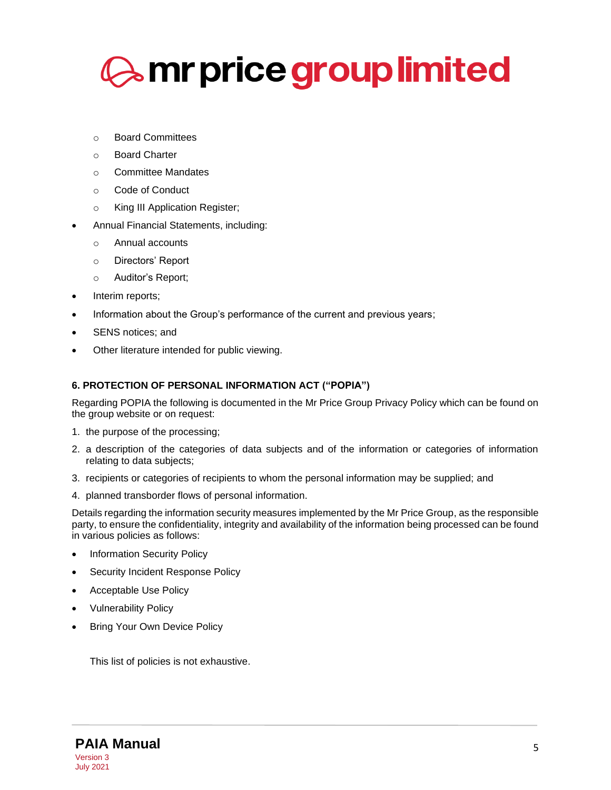

- o Board Committees
- o Board Charter
- o Committee Mandates
- o Code of Conduct
- o King III Application Register;
- Annual Financial Statements, including:
	- o Annual accounts
	- o Directors' Report
	- o Auditor's Report;
- Interim reports;
- Information about the Group's performance of the current and previous years;
- SENS notices; and
- Other literature intended for public viewing.

### **6. PROTECTION OF PERSONAL INFORMATION ACT ("POPIA")**

Regarding POPIA the following is documented in the Mr Price Group Privacy Policy which can be found on the group website or on request:

- 1. the purpose of the processing;
- 2. a description of the categories of data subjects and of the information or categories of information relating to data subjects;
- 3. recipients or categories of recipients to whom the personal information may be supplied; and
- 4. planned transborder flows of personal information.

Details regarding the information security measures implemented by the Mr Price Group, as the responsible party, to ensure the confidentiality, integrity and availability of the information being processed can be found in various policies as follows:

- Information Security Policy
- Security Incident Response Policy
- Acceptable Use Policy
- Vulnerability Policy
- **Bring Your Own Device Policy**

This list of policies is not exhaustive.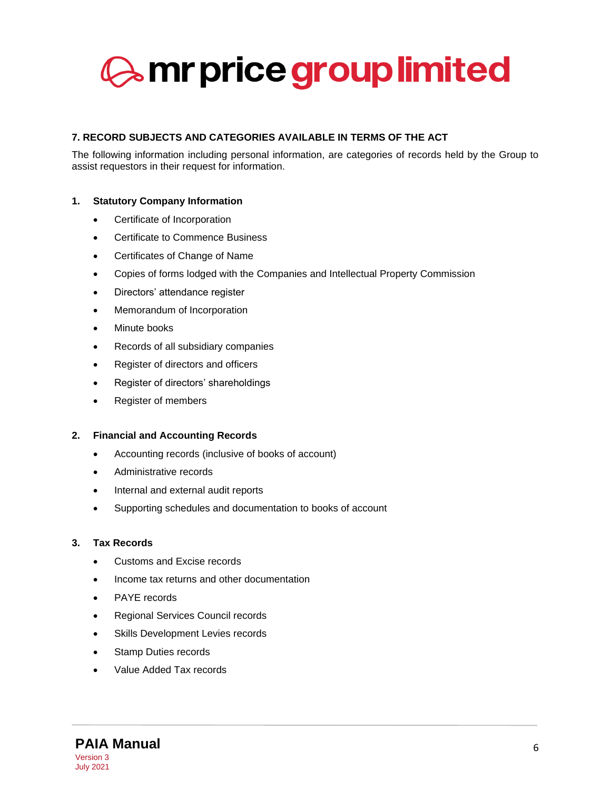# <span id="page-5-0"></span>**7. RECORD SUBJECTS AND CATEGORIES AVAILABLE IN TERMS OF THE ACT**

The following information including personal information, are categories of records held by the Group to assist requestors in their request for information.

# **1. Statutory Company Information**

- Certificate of Incorporation
- Certificate to Commence Business
- Certificates of Change of Name
- Copies of forms lodged with the Companies and Intellectual Property Commission
- Directors' attendance register
- Memorandum of Incorporation
- Minute books
- Records of all subsidiary companies
- Register of directors and officers
- Register of directors' shareholdings
- Register of members

#### **2. Financial and Accounting Records**

- Accounting records (inclusive of books of account)
- Administrative records
- Internal and external audit reports
- Supporting schedules and documentation to books of account

### **3. Tax Records**

- Customs and Excise records
- Income tax returns and other documentation
- PAYE records
- Regional Services Council records
- Skills Development Levies records
- Stamp Duties records
- Value Added Tax records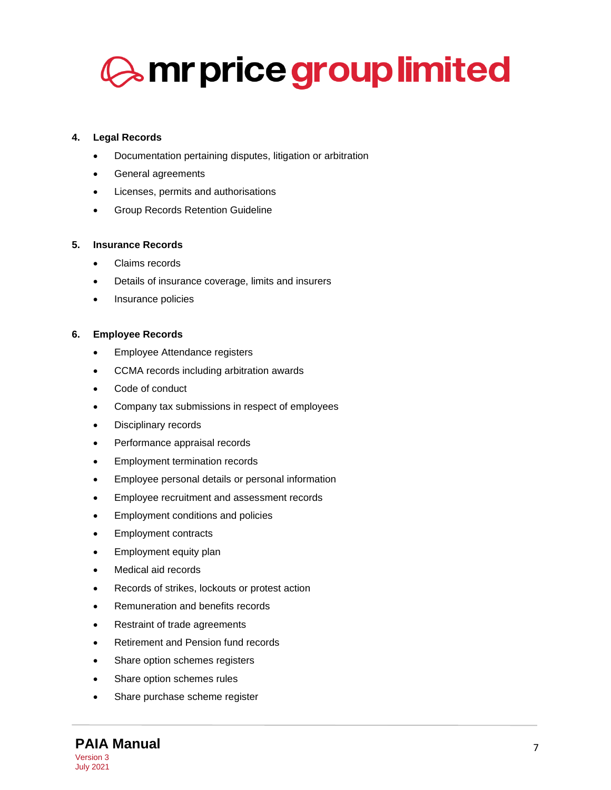# **4. Legal Records**

- Documentation pertaining disputes, litigation or arbitration
- General agreements
- Licenses, permits and authorisations
- Group Records Retention Guideline

# **5. Insurance Records**

- Claims records
- Details of insurance coverage, limits and insurers
- Insurance policies

# **6. Employee Records**

- Employee Attendance registers
- CCMA records including arbitration awards
- Code of conduct
- Company tax submissions in respect of employees
- Disciplinary records
- Performance appraisal records
- Employment termination records
- Employee personal details or personal information
- Employee recruitment and assessment records
- Employment conditions and policies
- Employment contracts
- Employment equity plan
- Medical aid records
- Records of strikes, lockouts or protest action
- Remuneration and benefits records
- Restraint of trade agreements
- Retirement and Pension fund records
- Share option schemes registers
- Share option schemes rules
- Share purchase scheme register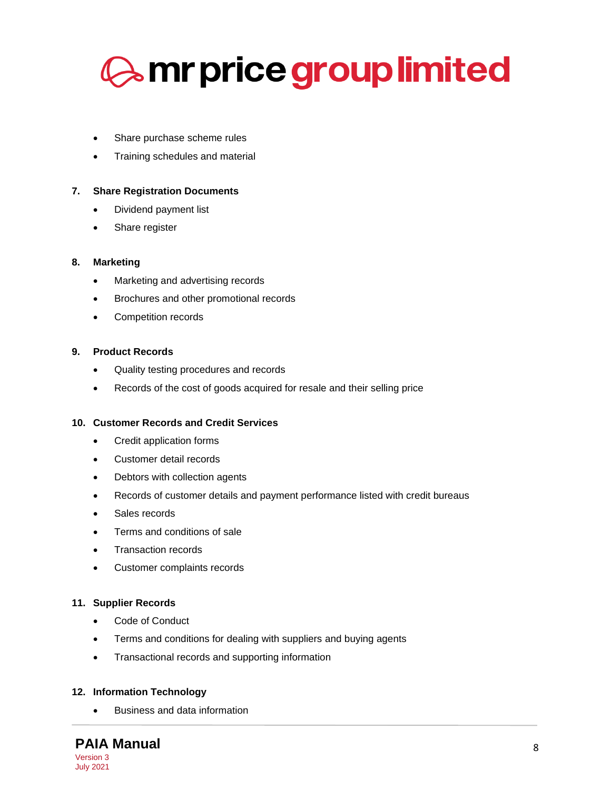

- Share purchase scheme rules
- Training schedules and material

#### **7. Share Registration Documents**

- Dividend payment list
- Share register

#### **8. Marketing**

- Marketing and advertising records
- Brochures and other promotional records
- Competition records

### **9. Product Records**

- Quality testing procedures and records
- Records of the cost of goods acquired for resale and their selling price

### **10. Customer Records and Credit Services**

- Credit application forms
- Customer detail records
- Debtors with collection agents
- Records of customer details and payment performance listed with credit bureaus
- Sales records
- Terms and conditions of sale
- Transaction records
- Customer complaints records

#### **11. Supplier Records**

- Code of Conduct
- Terms and conditions for dealing with suppliers and buying agents
- Transactional records and supporting information

#### **12. Information Technology**

• Business and data information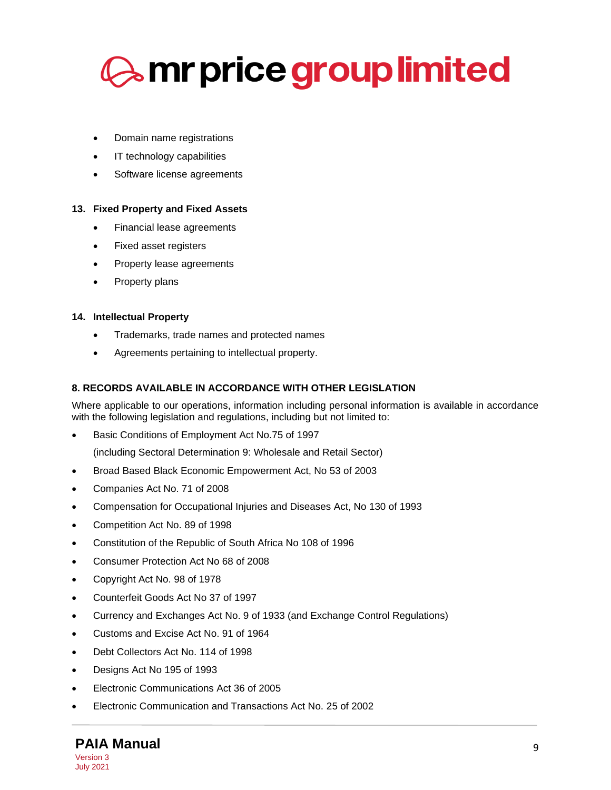

- Domain name registrations
- IT technology capabilities
- Software license agreements

# **13. Fixed Property and Fixed Assets**

- Financial lease agreements
- Fixed asset registers
- Property lease agreements
- Property plans

### **14. Intellectual Property**

- Trademarks, trade names and protected names
- Agreements pertaining to intellectual property.

### <span id="page-8-0"></span>**8. RECORDS AVAILABLE IN ACCORDANCE WITH OTHER LEGISLATION**

Where applicable to our operations, information including personal information is available in accordance with the following legislation and regulations, including but not limited to:

• Basic Conditions of Employment Act No.75 of 1997

(including Sectoral Determination 9: Wholesale and Retail Sector)

- Broad Based Black Economic Empowerment Act, No 53 of 2003
- Companies Act No. 71 of 2008
- Compensation for Occupational Injuries and Diseases Act, No 130 of 1993
- Competition Act No. 89 of 1998
- Constitution of the Republic of South Africa No 108 of 1996
- Consumer Protection Act No 68 of 2008
- Copyright Act No. 98 of 1978
- Counterfeit Goods Act No 37 of 1997
- Currency and Exchanges Act No. 9 of 1933 (and Exchange Control Regulations)
- Customs and Excise Act No. 91 of 1964
- Debt Collectors Act No. 114 of 1998
- Designs Act No 195 of 1993
- Electronic Communications Act 36 of 2005
- Electronic Communication and Transactions Act No. 25 of 2002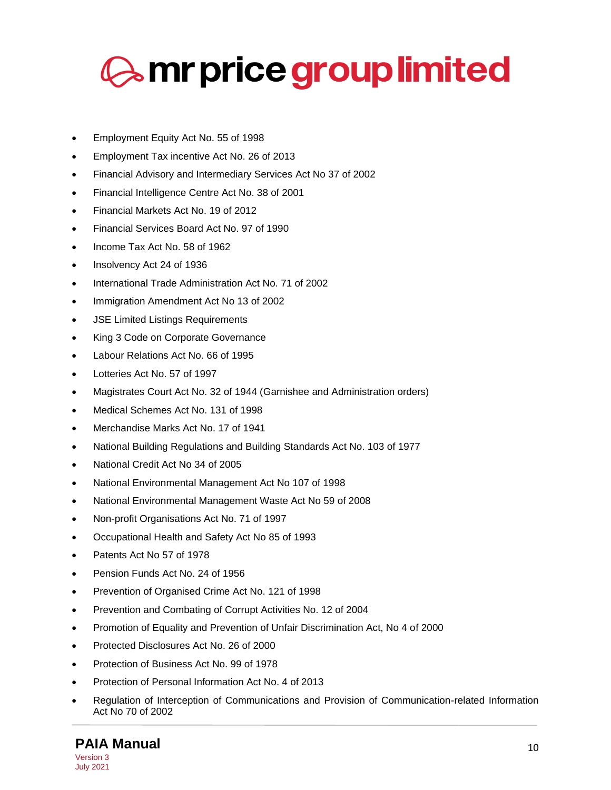

- Employment Equity Act No. 55 of 1998
- Employment Tax incentive Act No. 26 of 2013
- Financial Advisory and Intermediary Services Act No 37 of 2002
- Financial Intelligence Centre Act No. 38 of 2001
- Financial Markets Act No. 19 of 2012
- Financial Services Board Act No. 97 of 1990
- Income Tax Act No. 58 of 1962
- Insolvency Act 24 of 1936
- International Trade Administration Act No. 71 of 2002
- Immigration Amendment Act No 13 of 2002
- **JSE Limited Listings Requirements**
- King 3 Code on Corporate Governance
- Labour Relations Act No. 66 of 1995
- Lotteries Act No. 57 of 1997
- Magistrates Court Act No. 32 of 1944 (Garnishee and Administration orders)
- Medical Schemes Act No. 131 of 1998
- Merchandise Marks Act No. 17 of 1941
- National Building Regulations and Building Standards Act No. 103 of 1977
- National Credit Act No 34 of 2005
- National Environmental Management Act No 107 of 1998
- National Environmental Management Waste Act No 59 of 2008
- Non-profit Organisations Act No. 71 of 1997
- Occupational Health and Safety Act No 85 of 1993
- Patents Act No 57 of 1978
- Pension Funds Act No. 24 of 1956
- Prevention of Organised Crime Act No. 121 of 1998
- Prevention and Combating of Corrupt Activities No. 12 of 2004
- Promotion of Equality and Prevention of Unfair Discrimination Act, No 4 of 2000
- Protected Disclosures Act No. 26 of 2000
- Protection of Business Act No. 99 of 1978
- Protection of Personal Information Act No. 4 of 2013
- Regulation of Interception of Communications and Provision of Communication-related Information Act No 70 of 2002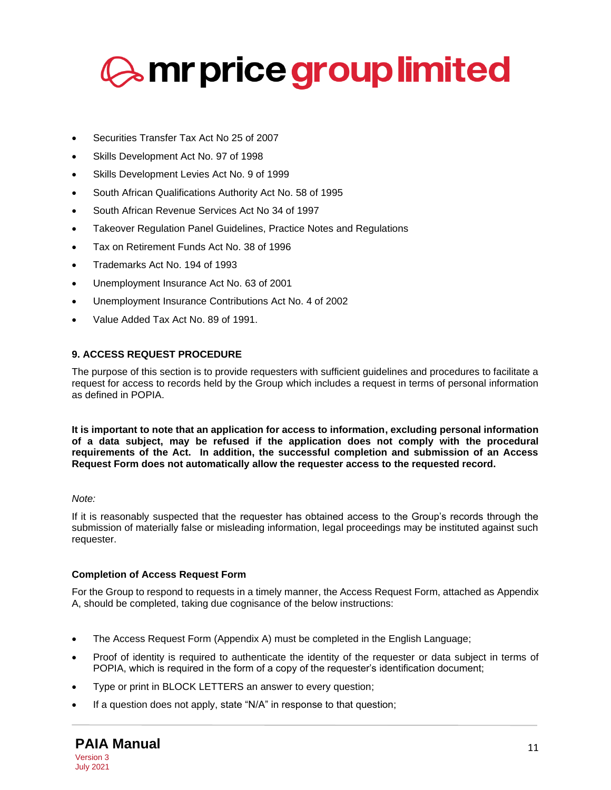

- Securities Transfer Tax Act No 25 of 2007
- Skills Development Act No. 97 of 1998
- Skills Development Levies Act No. 9 of 1999
- South African Qualifications Authority Act No. 58 of 1995
- South African Revenue Services Act No 34 of 1997
- Takeover Regulation Panel Guidelines, Practice Notes and Regulations
- Tax on Retirement Funds Act No. 38 of 1996
- Trademarks Act No. 194 of 1993
- Unemployment Insurance Act No. 63 of 2001
- Unemployment Insurance Contributions Act No. 4 of 2002
- Value Added Tax Act No. 89 of 1991.

# <span id="page-10-0"></span>**9. ACCESS REQUEST PROCEDURE**

The purpose of this section is to provide requesters with sufficient guidelines and procedures to facilitate a request for access to records held by the Group which includes a request in terms of personal information as defined in POPIA.

**It is important to note that an application for access to information, excluding personal information of a data subject, may be refused if the application does not comply with the procedural requirements of the Act. In addition, the successful completion and submission of an Access Request Form does not automatically allow the requester access to the requested record.**

### *Note:*

If it is reasonably suspected that the requester has obtained access to the Group's records through the submission of materially false or misleading information, legal proceedings may be instituted against such requester.

# **Completion of Access Request Form**

For the Group to respond to requests in a timely manner, the Access Request Form, attached as Appendix A, should be completed, taking due cognisance of the below instructions:

- The Access Request Form (Appendix A) must be completed in the English Language;
- Proof of identity is required to authenticate the identity of the requester or data subject in terms of POPIA, which is required in the form of a copy of the requester's identification document;
- Type or print in BLOCK LETTERS an answer to every question;
- If a question does not apply, state "N/A" in response to that question;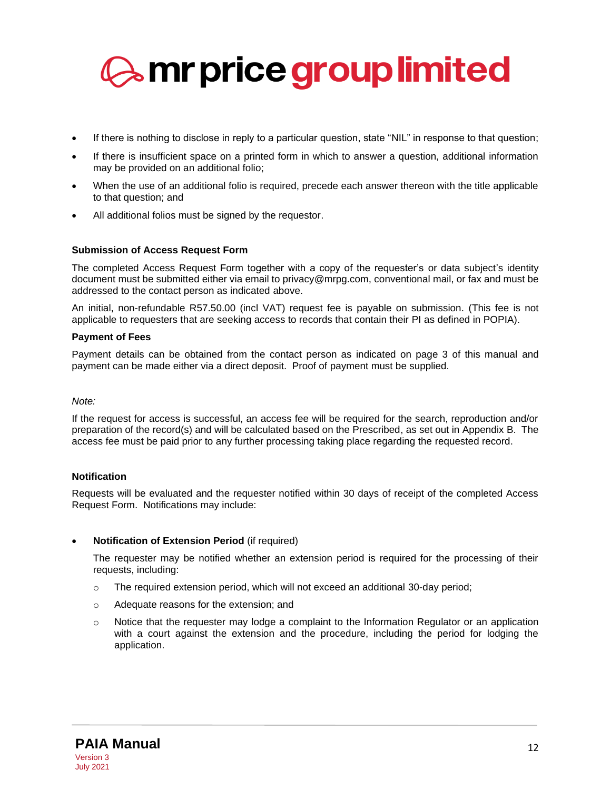

- If there is nothing to disclose in reply to a particular question, state "NIL" in response to that question;
- If there is insufficient space on a printed form in which to answer a question, additional information may be provided on an additional folio;
- When the use of an additional folio is required, precede each answer thereon with the title applicable to that question; and
- All additional folios must be signed by the requestor.

### **Submission of Access Request Form**

The completed Access Request Form together with a copy of the requester's or data subject's identity document must be submitted either via email to privacy@mrpg.com, conventional mail, or fax and must be addressed to the contact person as indicated above.

An initial, non-refundable R57.50.00 (incl VAT) request fee is payable on submission. (This fee is not applicable to requesters that are seeking access to records that contain their PI as defined in POPIA).

#### **Payment of Fees**

Payment details can be obtained from the contact person as indicated on page 3 of this manual and payment can be made either via a direct deposit. Proof of payment must be supplied.

#### *Note:*

If the request for access is successful, an access fee will be required for the search, reproduction and/or preparation of the record(s) and will be calculated based on the Prescribed, as set out in Appendix B. The access fee must be paid prior to any further processing taking place regarding the requested record.

#### **Notification**

Requests will be evaluated and the requester notified within 30 days of receipt of the completed Access Request Form. Notifications may include:

#### • **Notification of Extension Period** (if required)

The requester may be notified whether an extension period is required for the processing of their requests, including:

- o The required extension period, which will not exceed an additional 30-day period;
- o Adequate reasons for the extension; and
- $\circ$  Notice that the requester may lodge a complaint to the Information Regulator or an application with a court against the extension and the procedure, including the period for lodging the application.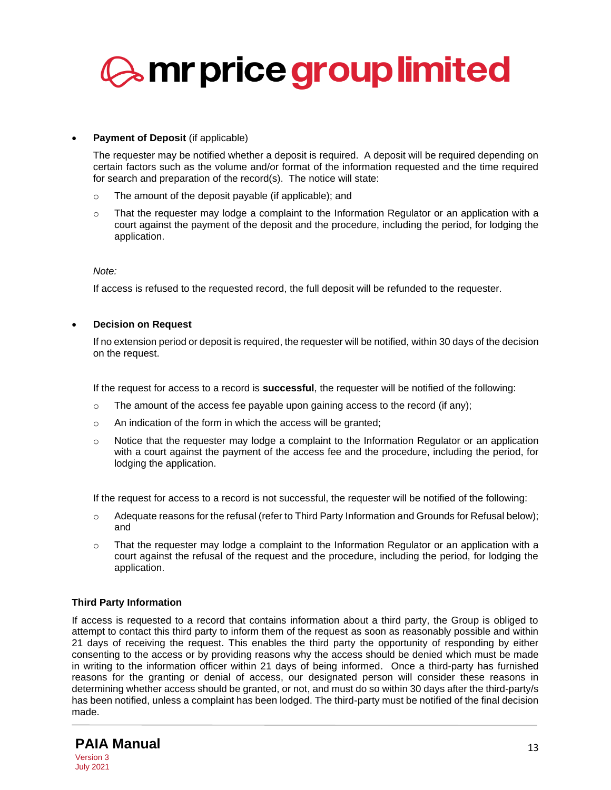

### • **Payment of Deposit** (if applicable)

The requester may be notified whether a deposit is required. A deposit will be required depending on certain factors such as the volume and/or format of the information requested and the time required for search and preparation of the record(s). The notice will state:

- o The amount of the deposit payable (if applicable); and
- $\circ$  That the requester may lodge a complaint to the Information Regulator or an application with a court against the payment of the deposit and the procedure, including the period, for lodging the application.

*Note:*

If access is refused to the requested record, the full deposit will be refunded to the requester.

• **Decision on Request**

If no extension period or deposit is required, the requester will be notified, within 30 days of the decision on the request.

If the request for access to a record is **successful**, the requester will be notified of the following:

- $\circ$  The amount of the access fee payable upon gaining access to the record (if any);
- o An indication of the form in which the access will be granted;
- $\circ$  Notice that the requester may lodge a complaint to the Information Regulator or an application with a court against the payment of the access fee and the procedure, including the period, for lodging the application.

If the request for access to a record is not successful, the requester will be notified of the following:

- $\circ$  Adequate reasons for the refusal (refer to Third Party Information and Grounds for Refusal below); and
- $\circ$  That the requester may lodge a complaint to the Information Regulator or an application with a court against the refusal of the request and the procedure, including the period, for lodging the application.

#### **Third Party Information**

If access is requested to a record that contains information about a third party, the Group is obliged to attempt to contact this third party to inform them of the request as soon as reasonably possible and within 21 days of receiving the request. This enables the third party the opportunity of responding by either consenting to the access or by providing reasons why the access should be denied which must be made in writing to the information officer within 21 days of being informed. Once a third-party has furnished reasons for the granting or denial of access, our designated person will consider these reasons in determining whether access should be granted, or not, and must do so within 30 days after the third-party/s has been notified, unless a complaint has been lodged. The third-party must be notified of the final decision made.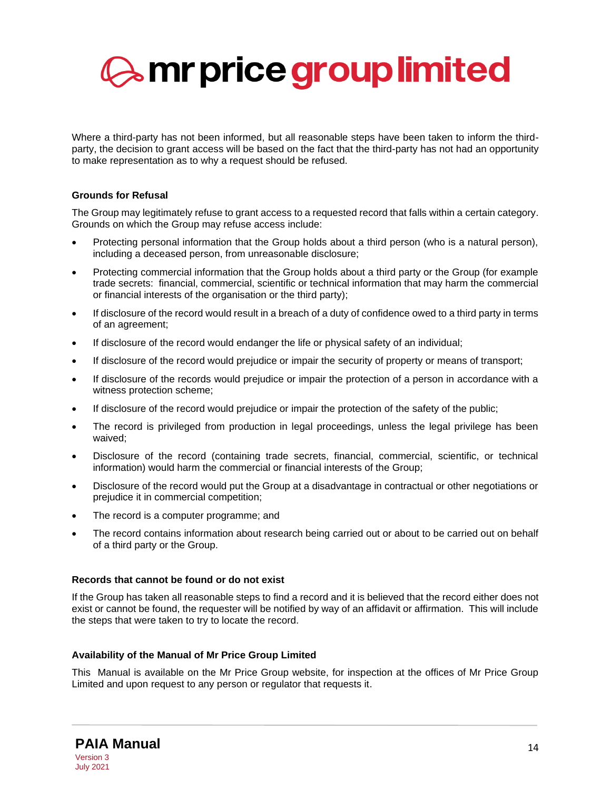

Where a third-party has not been informed, but all reasonable steps have been taken to inform the thirdparty, the decision to grant access will be based on the fact that the third-party has not had an opportunity to make representation as to why a request should be refused.

# **Grounds for Refusal**

The Group may legitimately refuse to grant access to a requested record that falls within a certain category. Grounds on which the Group may refuse access include:

- Protecting personal information that the Group holds about a third person (who is a natural person), including a deceased person, from unreasonable disclosure;
- Protecting commercial information that the Group holds about a third party or the Group (for example trade secrets: financial, commercial, scientific or technical information that may harm the commercial or financial interests of the organisation or the third party);
- If disclosure of the record would result in a breach of a duty of confidence owed to a third party in terms of an agreement;
- If disclosure of the record would endanger the life or physical safety of an individual;
- If disclosure of the record would prejudice or impair the security of property or means of transport;
- If disclosure of the records would prejudice or impair the protection of a person in accordance with a witness protection scheme;
- If disclosure of the record would prejudice or impair the protection of the safety of the public;
- The record is privileged from production in legal proceedings, unless the legal privilege has been waived;
- Disclosure of the record (containing trade secrets, financial, commercial, scientific, or technical information) would harm the commercial or financial interests of the Group;
- Disclosure of the record would put the Group at a disadvantage in contractual or other negotiations or prejudice it in commercial competition;
- The record is a computer programme; and
- The record contains information about research being carried out or about to be carried out on behalf of a third party or the Group.

#### **Records that cannot be found or do not exist**

If the Group has taken all reasonable steps to find a record and it is believed that the record either does not exist or cannot be found, the requester will be notified by way of an affidavit or affirmation. This will include the steps that were taken to try to locate the record.

#### **Availability of the Manual of Mr Price Group Limited**

This Manual is available on the Mr Price Group website, for inspection at the offices of Mr Price Group Limited and upon request to any person or regulator that requests it.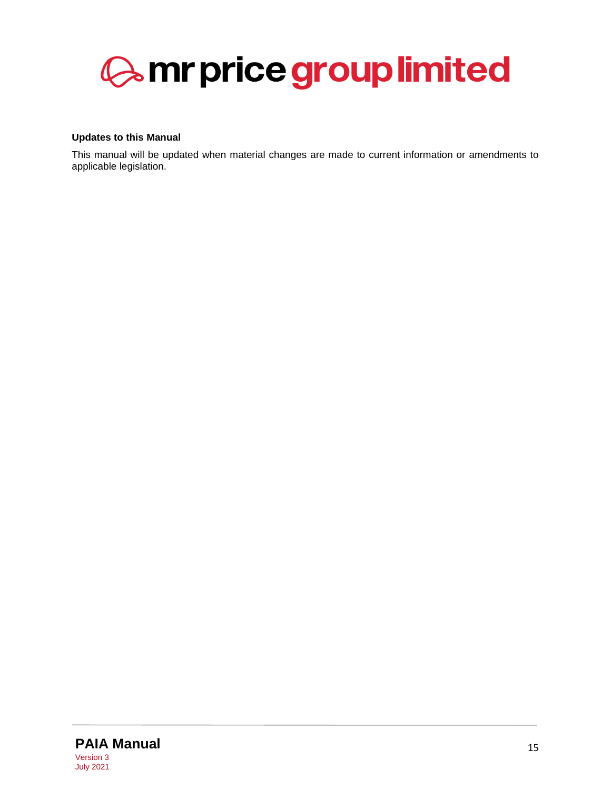

### **Updates to this Manual**

This manual will be updated when material changes are made to current information or amendments to applicable legislation.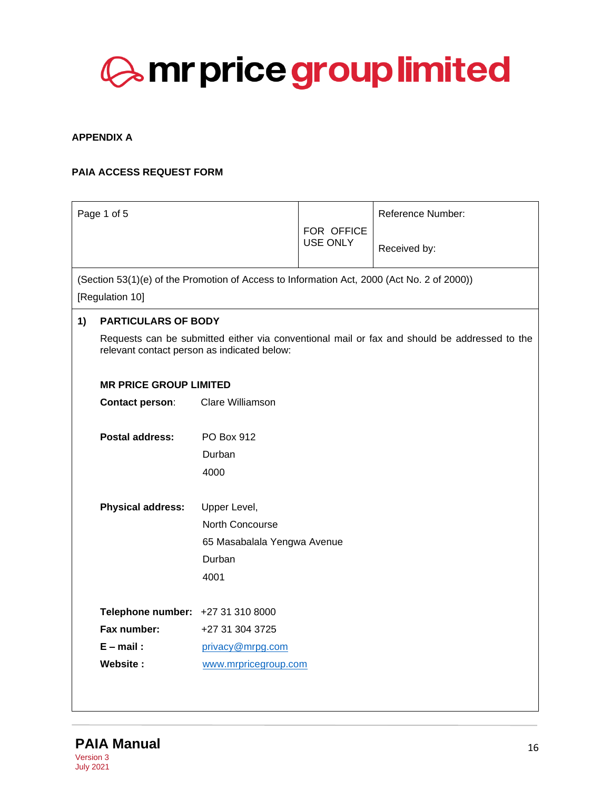

### <span id="page-15-0"></span>**APPENDIX A**

# **PAIA ACCESS REQUEST FORM**

|    | Page 1 of 5                                                                                |                               |                               | <b>Reference Number:</b>                                                                     |  |  |
|----|--------------------------------------------------------------------------------------------|-------------------------------|-------------------------------|----------------------------------------------------------------------------------------------|--|--|
|    |                                                                                            |                               | FOR OFFICE<br><b>USE ONLY</b> |                                                                                              |  |  |
|    |                                                                                            |                               |                               | Received by:                                                                                 |  |  |
|    | (Section 53(1)(e) of the Promotion of Access to Information Act, 2000 (Act No. 2 of 2000)) |                               |                               |                                                                                              |  |  |
|    | [Regulation 10]                                                                            |                               |                               |                                                                                              |  |  |
| 1) | <b>PARTICULARS OF BODY</b>                                                                 |                               |                               |                                                                                              |  |  |
|    | relevant contact person as indicated below:                                                |                               |                               | Requests can be submitted either via conventional mail or fax and should be addressed to the |  |  |
|    |                                                                                            | <b>MR PRICE GROUP LIMITED</b> |                               |                                                                                              |  |  |
|    | <b>Contact person:</b>                                                                     | Clare Williamson              |                               |                                                                                              |  |  |
|    | <b>Postal address:</b>                                                                     | PO Box 912                    |                               |                                                                                              |  |  |
|    |                                                                                            | Durban                        |                               |                                                                                              |  |  |
|    |                                                                                            | 4000                          |                               |                                                                                              |  |  |
|    |                                                                                            |                               |                               |                                                                                              |  |  |
|    | <b>Physical address:</b>                                                                   | Upper Level,                  |                               |                                                                                              |  |  |
|    |                                                                                            | North Concourse               |                               |                                                                                              |  |  |
|    |                                                                                            | 65 Masabalala Yengwa Avenue   |                               |                                                                                              |  |  |
|    |                                                                                            | Durban                        |                               |                                                                                              |  |  |
|    |                                                                                            | 4001                          |                               |                                                                                              |  |  |
|    | Telephone number: +27 31 310 8000                                                          |                               |                               |                                                                                              |  |  |
|    | Fax number:                                                                                | +27 31 304 3725               |                               |                                                                                              |  |  |
|    | $E$ – mail:                                                                                | privacy@mrpg.com              |                               |                                                                                              |  |  |
|    | Website:                                                                                   | www.mrpricegroup.com          |                               |                                                                                              |  |  |
|    |                                                                                            |                               |                               |                                                                                              |  |  |
|    |                                                                                            |                               |                               |                                                                                              |  |  |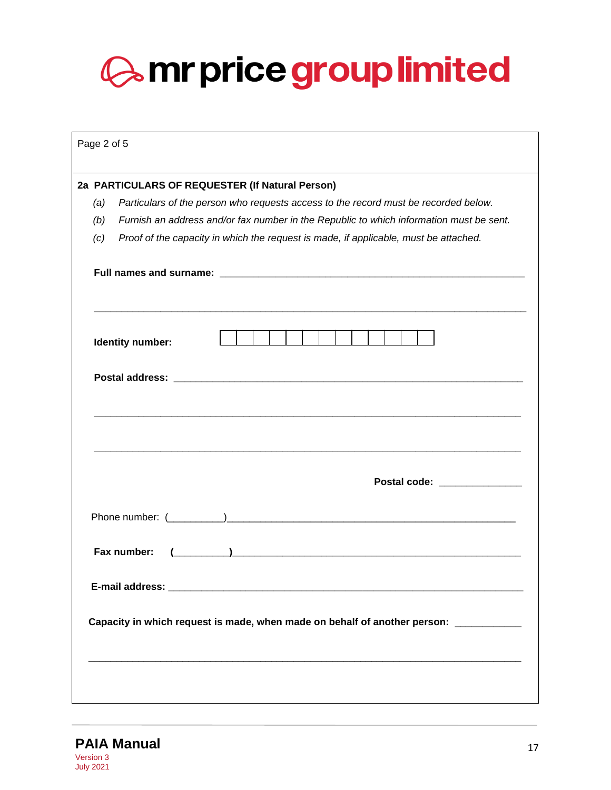| Page 2 of 5 |                                                                                                                                                                                                                                                                                                                                                             |
|-------------|-------------------------------------------------------------------------------------------------------------------------------------------------------------------------------------------------------------------------------------------------------------------------------------------------------------------------------------------------------------|
| (a)         | 2a PARTICULARS OF REQUESTER (If Natural Person)<br>Particulars of the person who requests access to the record must be recorded below.                                                                                                                                                                                                                      |
| (b)         | Furnish an address and/or fax number in the Republic to which information must be sent.                                                                                                                                                                                                                                                                     |
| (c)         | Proof of the capacity in which the request is made, if applicable, must be attached.                                                                                                                                                                                                                                                                        |
|             |                                                                                                                                                                                                                                                                                                                                                             |
|             |                                                                                                                                                                                                                                                                                                                                                             |
|             | Identity number:                                                                                                                                                                                                                                                                                                                                            |
|             |                                                                                                                                                                                                                                                                                                                                                             |
|             |                                                                                                                                                                                                                                                                                                                                                             |
|             | Postal code: _______________                                                                                                                                                                                                                                                                                                                                |
|             | $\sum_{i=1}^n\frac{1}{i!}\sum_{i=1}^n\frac{1}{i!}\sum_{i=1}^n\frac{1}{i!}\sum_{i=1}^n\frac{1}{i!}\sum_{i=1}^n\frac{1}{i!}\sum_{i=1}^n\frac{1}{i!}\sum_{i=1}^n\frac{1}{i!}\sum_{i=1}^n\frac{1}{i!}\sum_{i=1}^n\frac{1}{i!}\sum_{i=1}^n\frac{1}{i!}\sum_{i=1}^n\frac{1}{i!}\sum_{i=1}^n\frac{1}{i!}\sum_{i=1}^n\frac{1}{i!}\sum_{i=1}^n\frac{$<br>Fax number: |
|             |                                                                                                                                                                                                                                                                                                                                                             |
|             | Capacity in which request is made, when made on behalf of another person: __________                                                                                                                                                                                                                                                                        |
|             |                                                                                                                                                                                                                                                                                                                                                             |

**PAIA Manual** 17 Version 3 July 2021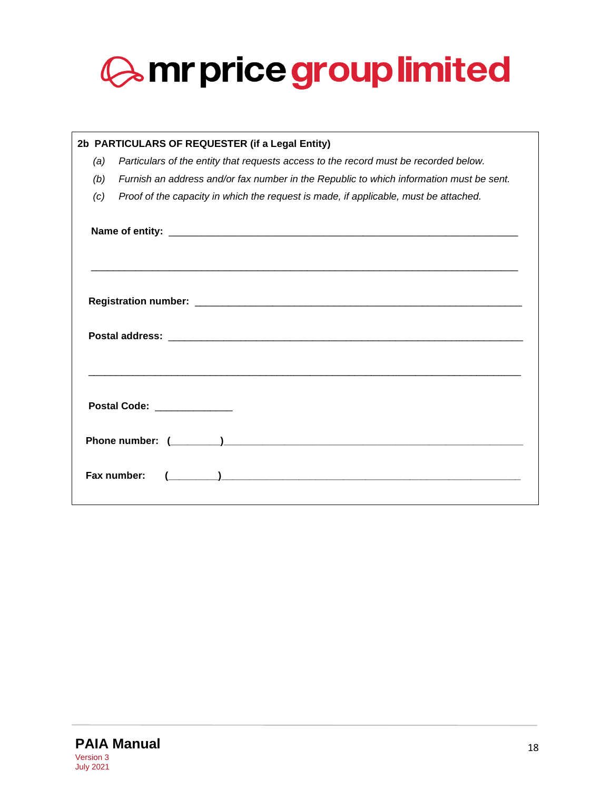

| 2b PARTICULARS OF REQUESTER (if a Legal Entity) |                                                                                                                                     |  |  |  |  |
|-------------------------------------------------|-------------------------------------------------------------------------------------------------------------------------------------|--|--|--|--|
| (a)                                             | Particulars of the entity that requests access to the record must be recorded below.                                                |  |  |  |  |
| (b)                                             | Furnish an address and/or fax number in the Republic to which information must be sent.                                             |  |  |  |  |
| (c)                                             | Proof of the capacity in which the request is made, if applicable, must be attached.                                                |  |  |  |  |
|                                                 |                                                                                                                                     |  |  |  |  |
|                                                 |                                                                                                                                     |  |  |  |  |
|                                                 | <b>Postal Code:</b> Postal Code:                                                                                                    |  |  |  |  |
|                                                 |                                                                                                                                     |  |  |  |  |
|                                                 | <u> 1980 - Januar Barbara, martxa al Italia de Arabel e a contra a la contra de la contra de la contra de la con</u><br>Fax number: |  |  |  |  |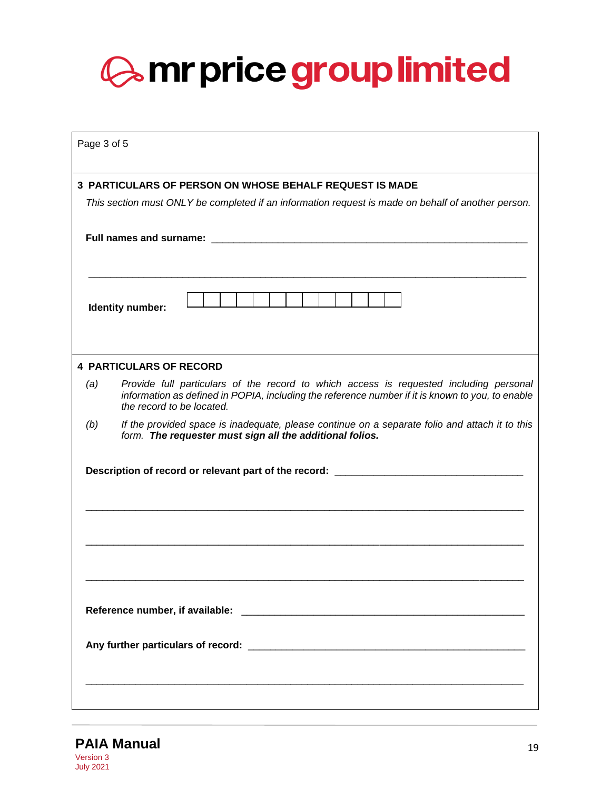| Page 3 of 5 |                                                                                                                                                                                                                                |
|-------------|--------------------------------------------------------------------------------------------------------------------------------------------------------------------------------------------------------------------------------|
|             | <b>3 PARTICULARS OF PERSON ON WHOSE BEHALF REQUEST IS MADE</b>                                                                                                                                                                 |
|             | This section must ONLY be completed if an information request is made on behalf of another person.                                                                                                                             |
|             | Full names and surname: The control of the control of the control of the control of the control of the control of the control of the control of the control of the control of the control of the control of the control of the |
|             | Identity number:                                                                                                                                                                                                               |
|             | <b>4 PARTICULARS OF RECORD</b>                                                                                                                                                                                                 |
| (a)         | Provide full particulars of the record to which access is requested including personal<br>information as defined in POPIA, including the reference number if it is known to you, to enable<br>the record to be located.        |
| (b)         | If the provided space is inadequate, please continue on a separate folio and attach it to this<br>form. The requester must sign all the additional folios.                                                                     |
|             | Description of record or relevant part of the record: __________________________                                                                                                                                               |
|             |                                                                                                                                                                                                                                |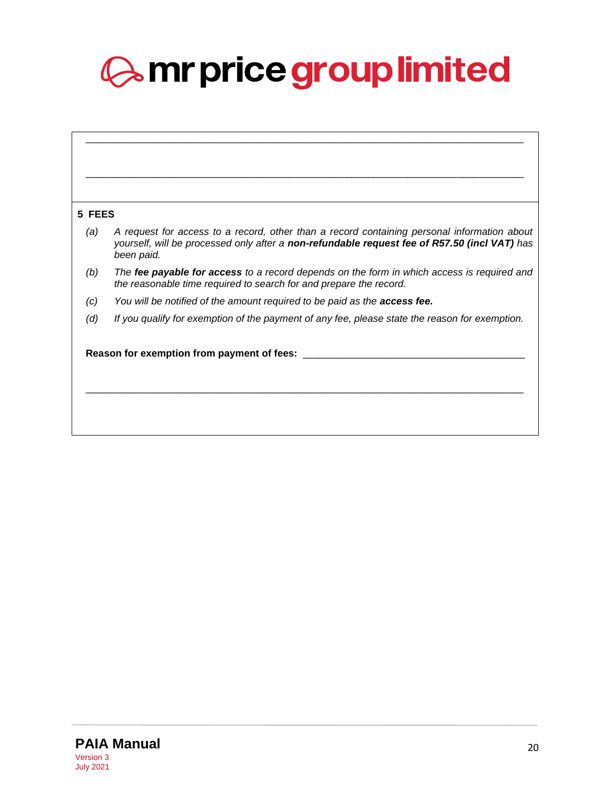| 5 FEES                                     |                                                                                                                                                                                                           |  |  |  |  |
|--------------------------------------------|-----------------------------------------------------------------------------------------------------------------------------------------------------------------------------------------------------------|--|--|--|--|
| (a)                                        | A request for access to a record, other than a record containing personal information about<br>yourself, will be processed only after a non-refundable request fee of R57.50 (incl VAT) has<br>been paid. |  |  |  |  |
| (b)                                        | The fee payable for access to a record depends on the form in which access is required and<br>the reasonable time required to search for and prepare the record.                                          |  |  |  |  |
| (c)                                        | You will be notified of the amount required to be paid as the <b>access fee.</b>                                                                                                                          |  |  |  |  |
| (d)                                        | If you qualify for exemption of the payment of any fee, please state the reason for exemption.                                                                                                            |  |  |  |  |
| Reason for exemption from payment of fees: |                                                                                                                                                                                                           |  |  |  |  |
|                                            |                                                                                                                                                                                                           |  |  |  |  |
|                                            |                                                                                                                                                                                                           |  |  |  |  |
|                                            |                                                                                                                                                                                                           |  |  |  |  |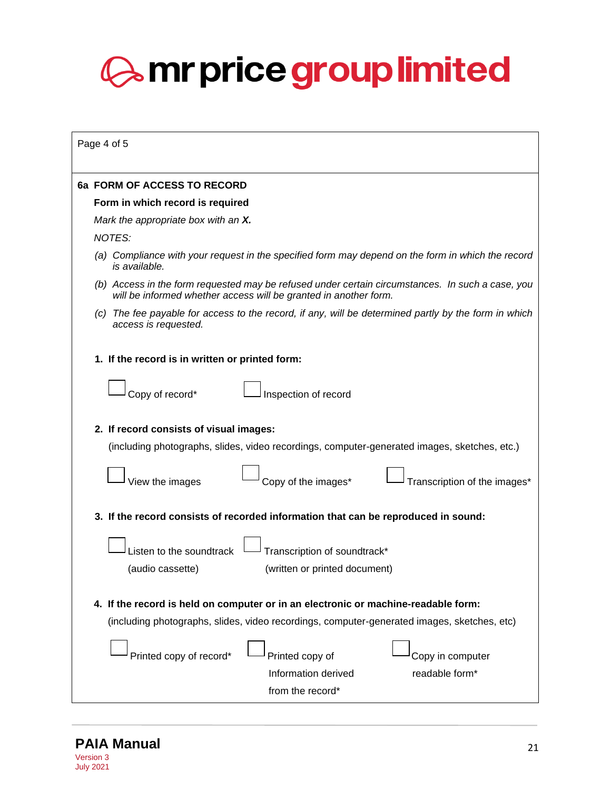| Page 4 of 5                                                                                                                                                                       |  |  |  |
|-----------------------------------------------------------------------------------------------------------------------------------------------------------------------------------|--|--|--|
| 6a FORM OF ACCESS TO RECORD                                                                                                                                                       |  |  |  |
| Form in which record is required                                                                                                                                                  |  |  |  |
| Mark the appropriate box with an X.                                                                                                                                               |  |  |  |
| NOTES:                                                                                                                                                                            |  |  |  |
| (a) Compliance with your request in the specified form may depend on the form in which the record<br>is available.                                                                |  |  |  |
| (b) Access in the form requested may be refused under certain circumstances. In such a case, you<br>will be informed whether access will be granted in another form.              |  |  |  |
| The fee payable for access to the record, if any, will be determined partly by the form in which<br>(C)<br>access is requested.                                                   |  |  |  |
| 1. If the record is in written or printed form:                                                                                                                                   |  |  |  |
| Copy of record*<br>Inspection of record                                                                                                                                           |  |  |  |
| 2. If record consists of visual images:<br>(including photographs, slides, video recordings, computer-generated images, sketches, etc.)                                           |  |  |  |
| Copy of the images*<br>View the images<br>Transcription of the images*                                                                                                            |  |  |  |
| 3. If the record consists of recorded information that can be reproduced in sound:                                                                                                |  |  |  |
| Listen to the soundtrack<br>Transcription of soundtrack*<br>(audio cassette)<br>(written or printed document)                                                                     |  |  |  |
| 4. If the record is held on computer or in an electronic or machine-readable form:<br>(including photographs, slides, video recordings, computer-generated images, sketches, etc) |  |  |  |
| Printed copy of record*<br>Printed copy of<br>Copy in computer<br>Information derived<br>readable form*<br>from the record*                                                       |  |  |  |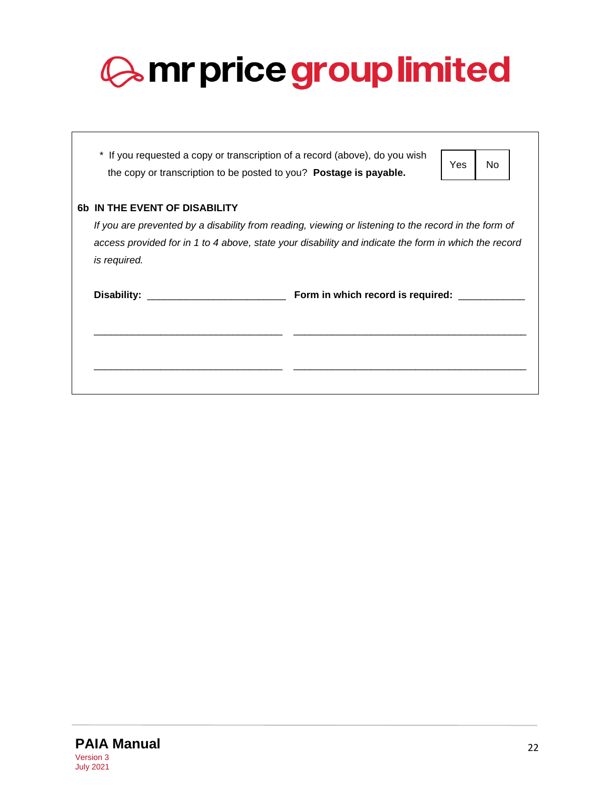|                                                                                                                                                                                                                                                                      |                                                                                                                                                   | <b>Amr price group limited</b>          |  |
|----------------------------------------------------------------------------------------------------------------------------------------------------------------------------------------------------------------------------------------------------------------------|---------------------------------------------------------------------------------------------------------------------------------------------------|-----------------------------------------|--|
|                                                                                                                                                                                                                                                                      | * If you requested a copy or transcription of a record (above), do you wish<br>the copy or transcription to be posted to you? Postage is payable. | No<br>Yes                               |  |
| <b>6b IN THE EVENT OF DISABILITY</b><br>If you are prevented by a disability from reading, viewing or listening to the record in the form of<br>access provided for in 1 to 4 above, state your disability and indicate the form in which the record<br>is required. |                                                                                                                                                   |                                         |  |
|                                                                                                                                                                                                                                                                      |                                                                                                                                                   | Form in which record is required: _____ |  |
|                                                                                                                                                                                                                                                                      |                                                                                                                                                   |                                         |  |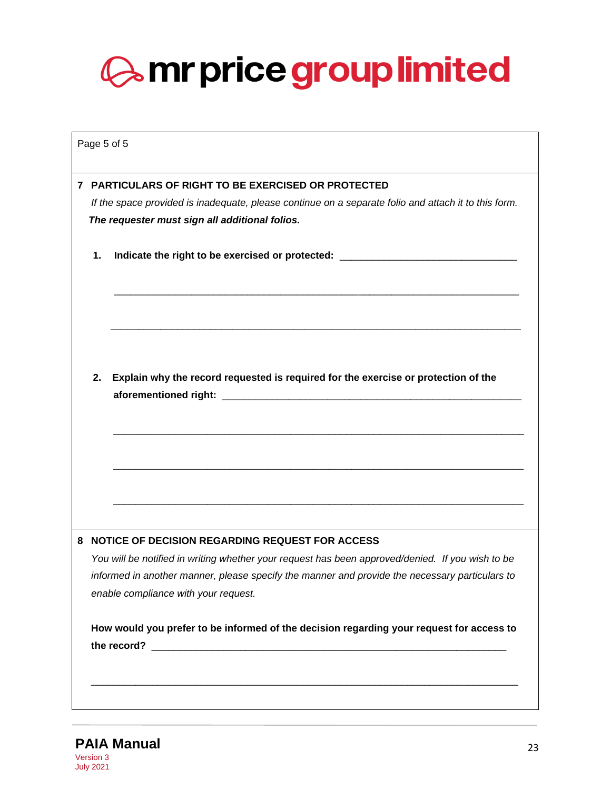|                                                                                        | Page 5 of 5 |                                                                                                                                        |  |  |  |  |  |
|----------------------------------------------------------------------------------------|-------------|----------------------------------------------------------------------------------------------------------------------------------------|--|--|--|--|--|
|                                                                                        |             | 7 PARTICULARS OF RIGHT TO BE EXERCISED OR PROTECTED                                                                                    |  |  |  |  |  |
|                                                                                        |             | If the space provided is inadequate, please continue on a separate folio and attach it to this form.                                   |  |  |  |  |  |
| The requester must sign all additional folios.                                         |             |                                                                                                                                        |  |  |  |  |  |
| Indicate the right to be exercised or protected: _______________________________<br>1. |             |                                                                                                                                        |  |  |  |  |  |
|                                                                                        |             |                                                                                                                                        |  |  |  |  |  |
|                                                                                        | 2.          | Explain why the record requested is required for the exercise or protection of the                                                     |  |  |  |  |  |
|                                                                                        |             |                                                                                                                                        |  |  |  |  |  |
|                                                                                        |             |                                                                                                                                        |  |  |  |  |  |
|                                                                                        |             | 8 NOTICE OF DECISION REGARDING REQUEST FOR ACCESS                                                                                      |  |  |  |  |  |
|                                                                                        |             | You will be notified in writing whether your request has been approved/denied. If you wish to be                                       |  |  |  |  |  |
|                                                                                        |             | informed in another manner, please specify the manner and provide the necessary particulars to<br>enable compliance with your request. |  |  |  |  |  |
|                                                                                        |             | How would you prefer to be informed of the decision regarding your request for access to                                               |  |  |  |  |  |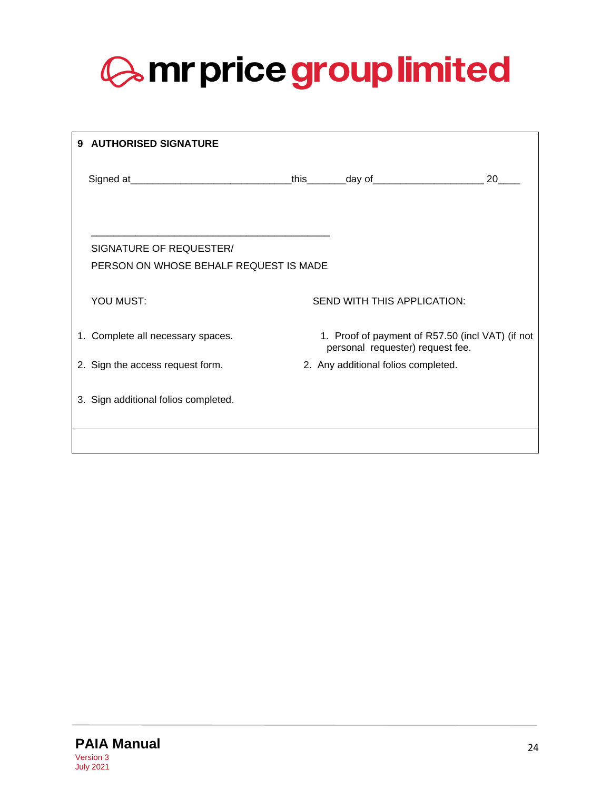<span id="page-23-0"></span>

| 9 | <b>AUTHORISED SIGNATURE</b>                                                      |                                                                                      |    |
|---|----------------------------------------------------------------------------------|--------------------------------------------------------------------------------------|----|
|   | Signed at__________________________________this_________day of__________________ |                                                                                      | 20 |
|   | SIGNATURE OF REQUESTER/<br>PERSON ON WHOSE BEHALF REQUEST IS MADE                |                                                                                      |    |
|   | YOU MUST:                                                                        | SEND WITH THIS APPLICATION:                                                          |    |
|   | 1. Complete all necessary spaces.                                                | 1. Proof of payment of R57.50 (incl VAT) (if not<br>personal requester) request fee. |    |
|   | 2. Sign the access request form.                                                 | 2. Any additional folios completed.                                                  |    |
|   | 3. Sign additional folios completed.                                             |                                                                                      |    |
|   |                                                                                  |                                                                                      |    |